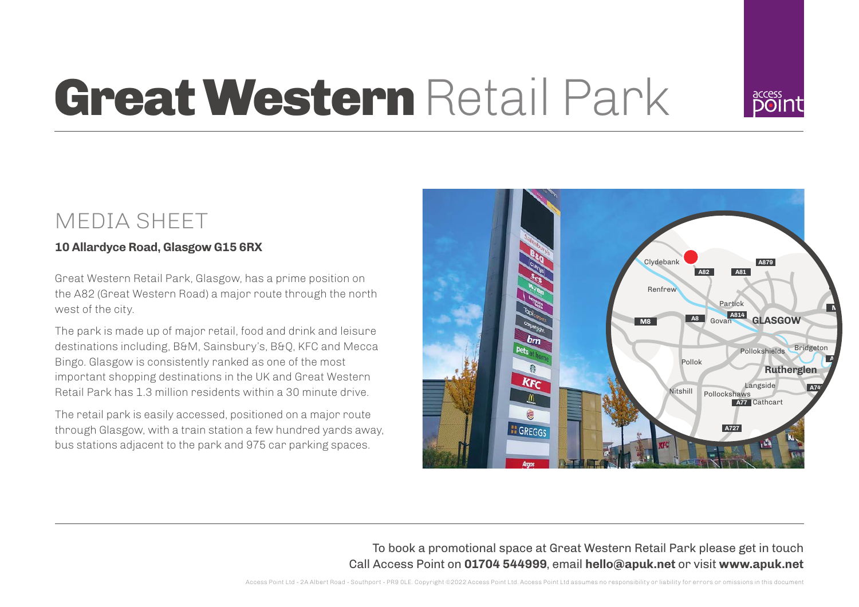

# Great Western Retail Park

## MEDIA SHEET

### **10 Allardyce Road, Glasgow G15 6RX**

Great Western Retail Park, Glasgow, has a prime position on the A82 (Great Western Road) a major route through the north west of the city.

The park is made up of major retail, food and drink and leisure destinations including, B&M, Sainsbury's, B&Q, KFC and Mecca Bingo. Glasgow is consistently ranked as one of the most important shopping destinations in the UK and Great Western Retail Park has 1.3 million residents within a 30 minute drive.

The retail park is easily accessed, positioned on a major route through Glasgow, with a train station a few hundred yards away, bus stations adjacent to the park and 975 car parking spaces.



To book a promotional space at Great Western Retail Park please get in touch Call Access Point on **01704 544999**, email **hello@apuk.net** or visit **www.apuk.net**